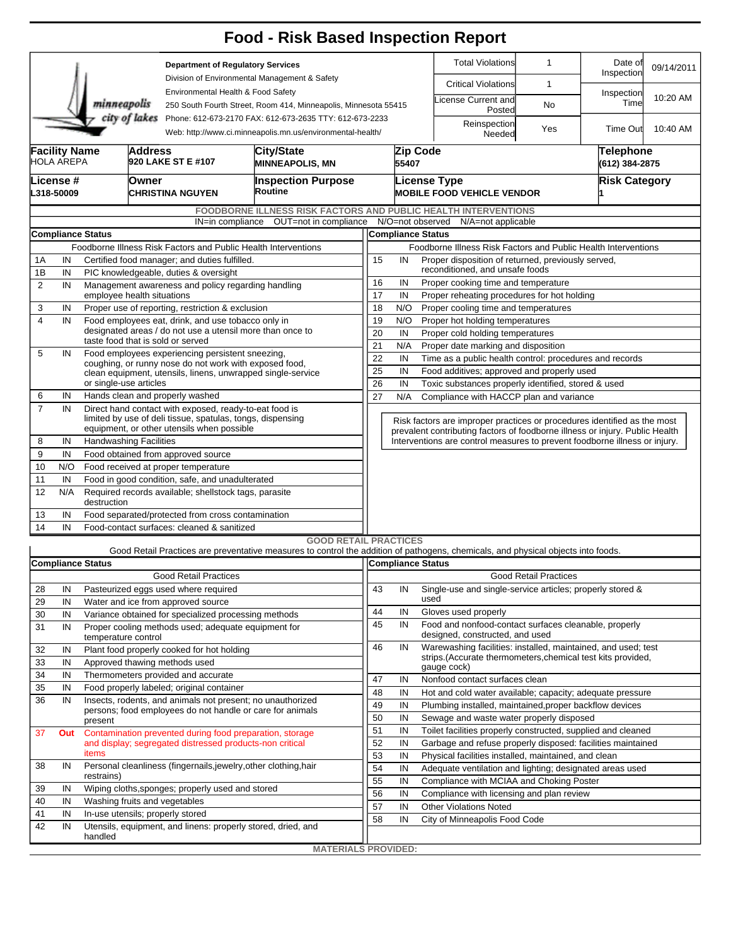|                                                                                                                                        |                                                                                                         |                          |                                                                                                                 |                                                                                     | <b>Food - Risk Based Inspection Report</b>                                                                                        |                                                                                                                                                          |                                                                                                            |                                                         |                                                                                                                                  |                              |                             |            |  |  |  |  |  |  |
|----------------------------------------------------------------------------------------------------------------------------------------|---------------------------------------------------------------------------------------------------------|--------------------------|-----------------------------------------------------------------------------------------------------------------|-------------------------------------------------------------------------------------|-----------------------------------------------------------------------------------------------------------------------------------|----------------------------------------------------------------------------------------------------------------------------------------------------------|------------------------------------------------------------------------------------------------------------|---------------------------------------------------------|----------------------------------------------------------------------------------------------------------------------------------|------------------------------|-----------------------------|------------|--|--|--|--|--|--|
|                                                                                                                                        |                                                                                                         |                          |                                                                                                                 | <b>Department of Regulatory Services</b>                                            |                                                                                                                                   |                                                                                                                                                          |                                                                                                            |                                                         | <b>Total Violations</b>                                                                                                          | $\mathbf{1}$                 | Date of<br>Inspection       | 09/14/2011 |  |  |  |  |  |  |
|                                                                                                                                        |                                                                                                         |                          |                                                                                                                 | Division of Environmental Management & Safety<br>Environmental Health & Food Safety |                                                                                                                                   |                                                                                                                                                          |                                                                                                            | <b>Critical Violations</b>                              | $\mathbf{1}$                                                                                                                     |                              |                             |            |  |  |  |  |  |  |
|                                                                                                                                        |                                                                                                         | minneapolis              |                                                                                                                 |                                                                                     | 250 South Fourth Street, Room 414, Minneapolis, Minnesota 55415                                                                   |                                                                                                                                                          |                                                                                                            |                                                         | icense Current and<br>Posted                                                                                                     | No                           | Inspection<br>Time          | 10:20 AM   |  |  |  |  |  |  |
| city of lakes<br>Phone: 612-673-2170 FAX: 612-673-2635 TTY: 612-673-2233<br>Web: http://www.ci.minneapolis.mn.us/environmental-health/ |                                                                                                         |                          |                                                                                                                 |                                                                                     |                                                                                                                                   |                                                                                                                                                          |                                                                                                            |                                                         | Reinspection<br>Needed                                                                                                           | Yes                          | Time Out                    | 10:40 AM   |  |  |  |  |  |  |
|                                                                                                                                        | <b>Facility Name</b><br><b>HOLA AREPA</b>                                                               |                          | <b>Address</b>                                                                                                  | 920 LAKE ST E #107                                                                  | City/State<br><b>MINNEAPOLIS, MN</b>                                                                                              |                                                                                                                                                          | 55407                                                                                                      | Zip Code                                                |                                                                                                                                  |                              | Telephone<br>(612) 384-2875 |            |  |  |  |  |  |  |
|                                                                                                                                        | License #<br>L318-50009                                                                                 |                          | Owner                                                                                                           | CHRISTINA NGUYEN                                                                    | <b>Inspection Purpose</b><br>Routine                                                                                              |                                                                                                                                                          |                                                                                                            |                                                         | <b>License Type</b><br><b>MOBILE FOOD VEHICLE VENDOR</b>                                                                         |                              | <b>Risk Category</b>        |            |  |  |  |  |  |  |
|                                                                                                                                        |                                                                                                         |                          |                                                                                                                 |                                                                                     | <b>FOODBORNE ILLNESS RISK FACTORS AND PUBLIC HEALTH INTERVENTIONS</b>                                                             |                                                                                                                                                          |                                                                                                            |                                                         |                                                                                                                                  |                              |                             |            |  |  |  |  |  |  |
|                                                                                                                                        |                                                                                                         |                          |                                                                                                                 |                                                                                     | IN=in compliance OUT=not in compliance                                                                                            | N/O=not observed N/A=not applicable                                                                                                                      |                                                                                                            |                                                         |                                                                                                                                  |                              |                             |            |  |  |  |  |  |  |
|                                                                                                                                        |                                                                                                         | <b>Compliance Status</b> |                                                                                                                 |                                                                                     |                                                                                                                                   | <b>Compliance Status</b>                                                                                                                                 |                                                                                                            |                                                         |                                                                                                                                  |                              |                             |            |  |  |  |  |  |  |
|                                                                                                                                        | Foodborne Illness Risk Factors and Public Health Interventions                                          |                          |                                                                                                                 |                                                                                     |                                                                                                                                   |                                                                                                                                                          |                                                                                                            |                                                         | Foodborne Illness Risk Factors and Public Health Interventions<br>15<br>Proper disposition of returned, previously served,<br>IN |                              |                             |            |  |  |  |  |  |  |
| 1Β                                                                                                                                     | Certified food manager; and duties fulfilled.<br>1A<br>IN                                               |                          |                                                                                                                 |                                                                                     |                                                                                                                                   |                                                                                                                                                          |                                                                                                            | reconditioned, and unsafe foods                         |                                                                                                                                  |                              |                             |            |  |  |  |  |  |  |
| 2                                                                                                                                      | IN<br>PIC knowledgeable, duties & oversight<br>IN<br>Management awareness and policy regarding handling |                          |                                                                                                                 |                                                                                     |                                                                                                                                   |                                                                                                                                                          | 16<br>IN<br>Proper cooking time and temperature                                                            |                                                         |                                                                                                                                  |                              |                             |            |  |  |  |  |  |  |
|                                                                                                                                        |                                                                                                         |                          | employee health situations                                                                                      |                                                                                     |                                                                                                                                   |                                                                                                                                                          |                                                                                                            | 17<br>IN<br>Proper reheating procedures for hot holding |                                                                                                                                  |                              |                             |            |  |  |  |  |  |  |
| 3                                                                                                                                      | IN                                                                                                      |                          |                                                                                                                 | Proper use of reporting, restriction & exclusion                                    |                                                                                                                                   | 18<br>N/O<br>Proper cooling time and temperatures                                                                                                        |                                                                                                            |                                                         |                                                                                                                                  |                              |                             |            |  |  |  |  |  |  |
| $\overline{4}$                                                                                                                         | IN                                                                                                      |                          | Food employees eat, drink, and use tobacco only in<br>designated areas / do not use a utensil more than once to |                                                                                     |                                                                                                                                   |                                                                                                                                                          |                                                                                                            |                                                         | 19<br>N/O<br>Proper hot holding temperatures                                                                                     |                              |                             |            |  |  |  |  |  |  |
|                                                                                                                                        |                                                                                                         |                          | taste food that is sold or served                                                                               |                                                                                     | 20<br>IN<br>Proper cold holding temperatures                                                                                      |                                                                                                                                                          |                                                                                                            |                                                         |                                                                                                                                  |                              |                             |            |  |  |  |  |  |  |
| 5                                                                                                                                      | IN                                                                                                      |                          | Food employees experiencing persistent sneezing,                                                                |                                                                                     | 21<br>N/A<br>Proper date marking and disposition                                                                                  |                                                                                                                                                          |                                                                                                            |                                                         |                                                                                                                                  |                              |                             |            |  |  |  |  |  |  |
|                                                                                                                                        |                                                                                                         |                          |                                                                                                                 | coughing, or runny nose do not work with exposed food,                              | 22<br>IN<br>Time as a public health control: procedures and records<br>25<br>IN<br>Food additives; approved and properly used     |                                                                                                                                                          |                                                                                                            |                                                         |                                                                                                                                  |                              |                             |            |  |  |  |  |  |  |
|                                                                                                                                        |                                                                                                         | or single-use articles   |                                                                                                                 |                                                                                     | clean equipment, utensils, linens, unwrapped single-service                                                                       | 26<br>IN<br>Toxic substances properly identified, stored & used                                                                                          |                                                                                                            |                                                         |                                                                                                                                  |                              |                             |            |  |  |  |  |  |  |
| 6                                                                                                                                      | IN                                                                                                      |                          |                                                                                                                 | Hands clean and properly washed                                                     |                                                                                                                                   |                                                                                                                                                          | 27<br>N/A<br>Compliance with HACCP plan and variance                                                       |                                                         |                                                                                                                                  |                              |                             |            |  |  |  |  |  |  |
| $\overline{7}$                                                                                                                         | IN                                                                                                      |                          | Direct hand contact with exposed, ready-to-eat food is                                                          |                                                                                     |                                                                                                                                   |                                                                                                                                                          |                                                                                                            |                                                         |                                                                                                                                  |                              |                             |            |  |  |  |  |  |  |
|                                                                                                                                        |                                                                                                         |                          | limited by use of deli tissue, spatulas, tongs, dispensing                                                      |                                                                                     |                                                                                                                                   | Risk factors are improper practices or procedures identified as the most<br>prevalent contributing factors of foodborne illness or injury. Public Health |                                                                                                            |                                                         |                                                                                                                                  |                              |                             |            |  |  |  |  |  |  |
| 8                                                                                                                                      | equipment, or other utensils when possible<br><b>Handwashing Facilities</b>                             |                          |                                                                                                                 |                                                                                     |                                                                                                                                   |                                                                                                                                                          |                                                                                                            |                                                         | Interventions are control measures to prevent foodborne illness or injury.                                                       |                              |                             |            |  |  |  |  |  |  |
| 9                                                                                                                                      | IN<br>IN                                                                                                |                          |                                                                                                                 | Food obtained from approved source                                                  |                                                                                                                                   |                                                                                                                                                          |                                                                                                            |                                                         |                                                                                                                                  |                              |                             |            |  |  |  |  |  |  |
| 10                                                                                                                                     | N/O                                                                                                     |                          |                                                                                                                 |                                                                                     |                                                                                                                                   |                                                                                                                                                          |                                                                                                            |                                                         |                                                                                                                                  |                              |                             |            |  |  |  |  |  |  |
| 11                                                                                                                                     | Food received at proper temperature<br>Food in good condition, safe, and unadulterated<br>IN            |                          |                                                                                                                 |                                                                                     |                                                                                                                                   |                                                                                                                                                          |                                                                                                            |                                                         |                                                                                                                                  |                              |                             |            |  |  |  |  |  |  |
| 12                                                                                                                                     | N/A<br>Required records available; shellstock tags, parasite<br>destruction                             |                          |                                                                                                                 |                                                                                     |                                                                                                                                   |                                                                                                                                                          |                                                                                                            |                                                         |                                                                                                                                  |                              |                             |            |  |  |  |  |  |  |
| 13                                                                                                                                     | IN<br>Food separated/protected from cross contamination                                                 |                          |                                                                                                                 |                                                                                     |                                                                                                                                   |                                                                                                                                                          |                                                                                                            |                                                         |                                                                                                                                  |                              |                             |            |  |  |  |  |  |  |
| 14                                                                                                                                     | IN                                                                                                      |                          |                                                                                                                 | Food-contact surfaces: cleaned & sanitized                                          |                                                                                                                                   |                                                                                                                                                          |                                                                                                            |                                                         |                                                                                                                                  |                              |                             |            |  |  |  |  |  |  |
|                                                                                                                                        |                                                                                                         |                          |                                                                                                                 |                                                                                     | <b>GOOD RETAIL PRACTICES</b>                                                                                                      |                                                                                                                                                          |                                                                                                            |                                                         |                                                                                                                                  |                              |                             |            |  |  |  |  |  |  |
|                                                                                                                                        |                                                                                                         |                          |                                                                                                                 |                                                                                     | Good Retail Practices are preventative measures to control the addition of pathogens, chemicals, and physical objects into foods. |                                                                                                                                                          |                                                                                                            |                                                         |                                                                                                                                  |                              |                             |            |  |  |  |  |  |  |
|                                                                                                                                        | <b>Compliance Status</b><br><b>Good Retail Practices</b>                                                |                          |                                                                                                                 |                                                                                     |                                                                                                                                   |                                                                                                                                                          |                                                                                                            |                                                         | Compliance Status                                                                                                                | <b>Good Retail Practices</b> |                             |            |  |  |  |  |  |  |
| 28                                                                                                                                     | IN                                                                                                      |                          |                                                                                                                 | Pasteurized eggs used where required                                                |                                                                                                                                   | 43                                                                                                                                                       | IN                                                                                                         |                                                         | Single-use and single-service articles; properly stored &                                                                        |                              |                             |            |  |  |  |  |  |  |
| 29                                                                                                                                     | IN                                                                                                      |                          |                                                                                                                 | Water and ice from approved source                                                  |                                                                                                                                   |                                                                                                                                                          |                                                                                                            | used                                                    |                                                                                                                                  |                              |                             |            |  |  |  |  |  |  |
| 30                                                                                                                                     | IN                                                                                                      |                          | Variance obtained for specialized processing methods                                                            |                                                                                     | 44                                                                                                                                | IN                                                                                                                                                       |                                                                                                            | Gloves used properly                                    |                                                                                                                                  |                              |                             |            |  |  |  |  |  |  |
| 31                                                                                                                                     | IN                                                                                                      | temperature control      |                                                                                                                 | Proper cooling methods used; adequate equipment for                                 |                                                                                                                                   | 45                                                                                                                                                       | IN                                                                                                         |                                                         | Food and nonfood-contact surfaces cleanable, properly<br>designed, constructed, and used                                         |                              |                             |            |  |  |  |  |  |  |
| 32                                                                                                                                     | IN                                                                                                      |                          |                                                                                                                 | Plant food properly cooked for hot holding                                          |                                                                                                                                   | 46                                                                                                                                                       | IN                                                                                                         |                                                         | Warewashing facilities: installed, maintained, and used; test                                                                    |                              |                             |            |  |  |  |  |  |  |
| 33                                                                                                                                     | IN                                                                                                      |                          |                                                                                                                 | Approved thawing methods used                                                       |                                                                                                                                   |                                                                                                                                                          |                                                                                                            |                                                         | strips. (Accurate thermometers, chemical test kits provided,<br>gauge cock)                                                      |                              |                             |            |  |  |  |  |  |  |
| 34                                                                                                                                     | IN                                                                                                      |                          |                                                                                                                 | Thermometers provided and accurate                                                  |                                                                                                                                   | 47                                                                                                                                                       | IN                                                                                                         |                                                         | Nonfood contact surfaces clean                                                                                                   |                              |                             |            |  |  |  |  |  |  |
| 35                                                                                                                                     | IN                                                                                                      |                          |                                                                                                                 | Food properly labeled; original container                                           |                                                                                                                                   | 48                                                                                                                                                       | IN                                                                                                         |                                                         | Hot and cold water available; capacity; adequate pressure                                                                        |                              |                             |            |  |  |  |  |  |  |
| 36                                                                                                                                     | IN                                                                                                      |                          |                                                                                                                 |                                                                                     | Insects, rodents, and animals not present; no unauthorized<br>persons; food employees do not handle or care for animals           | 49                                                                                                                                                       | IN                                                                                                         |                                                         | Plumbing installed, maintained, proper backflow devices                                                                          |                              |                             |            |  |  |  |  |  |  |
|                                                                                                                                        |                                                                                                         | present                  |                                                                                                                 |                                                                                     |                                                                                                                                   | 50                                                                                                                                                       | IN                                                                                                         |                                                         | Sewage and waste water properly disposed                                                                                         |                              |                             |            |  |  |  |  |  |  |
| 37                                                                                                                                     | Out                                                                                                     |                          |                                                                                                                 |                                                                                     | Contamination prevented during food preparation, storage                                                                          | 51                                                                                                                                                       | IN                                                                                                         |                                                         | Toilet facilities properly constructed, supplied and cleaned                                                                     |                              |                             |            |  |  |  |  |  |  |
|                                                                                                                                        |                                                                                                         |                          |                                                                                                                 | and display; segregated distressed products-non critical                            |                                                                                                                                   | 52                                                                                                                                                       | IN                                                                                                         |                                                         | Garbage and refuse properly disposed: facilities maintained                                                                      |                              |                             |            |  |  |  |  |  |  |
| 38                                                                                                                                     | IN                                                                                                      | items                    |                                                                                                                 |                                                                                     | Personal cleanliness (fingernails, jewelry, other clothing, hair                                                                  | 53                                                                                                                                                       | IN                                                                                                         |                                                         | Physical facilities installed, maintained, and clean                                                                             |                              |                             |            |  |  |  |  |  |  |
|                                                                                                                                        |                                                                                                         | restrains)               |                                                                                                                 |                                                                                     |                                                                                                                                   | 54                                                                                                                                                       | IN<br>Adequate ventilation and lighting; designated areas used<br>Compliance with MCIAA and Choking Poster |                                                         |                                                                                                                                  |                              |                             |            |  |  |  |  |  |  |
| 39                                                                                                                                     | IN                                                                                                      |                          |                                                                                                                 | Wiping cloths, sponges; properly used and stored                                    |                                                                                                                                   | 55<br>56                                                                                                                                                 | IN                                                                                                         |                                                         |                                                                                                                                  |                              |                             |            |  |  |  |  |  |  |
| 40                                                                                                                                     | IN                                                                                                      |                          |                                                                                                                 | Washing fruits and vegetables                                                       |                                                                                                                                   | 57                                                                                                                                                       | IN<br>IN                                                                                                   |                                                         | Compliance with licensing and plan review<br><b>Other Violations Noted</b>                                                       |                              |                             |            |  |  |  |  |  |  |
| 41                                                                                                                                     | IN                                                                                                      |                          | In-use utensils; properly stored                                                                                |                                                                                     | 58                                                                                                                                | IN                                                                                                                                                       |                                                                                                            | City of Minneapolis Food Code                           |                                                                                                                                  |                              |                             |            |  |  |  |  |  |  |
| 42                                                                                                                                     | IN                                                                                                      |                          |                                                                                                                 |                                                                                     | Utensils, equipment, and linens: properly stored, dried, and                                                                      |                                                                                                                                                          |                                                                                                            |                                                         |                                                                                                                                  |                              |                             |            |  |  |  |  |  |  |
|                                                                                                                                        |                                                                                                         | handled                  |                                                                                                                 |                                                                                     | <b>MATERIALS PROVIDED:</b>                                                                                                        |                                                                                                                                                          |                                                                                                            |                                                         |                                                                                                                                  |                              |                             |            |  |  |  |  |  |  |
|                                                                                                                                        |                                                                                                         |                          |                                                                                                                 |                                                                                     |                                                                                                                                   |                                                                                                                                                          |                                                                                                            |                                                         |                                                                                                                                  |                              |                             |            |  |  |  |  |  |  |